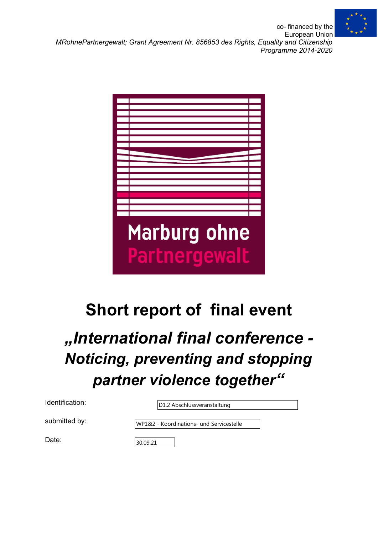

co- financed by the European Union *MRohnePartnergewalt; Grant Agreement Nr. 856853 des Rights, Equality and Citizenship Programme 2014-2020*

| <b>Marburg ohne</b> |
|---------------------|
|                     |
|                     |
|                     |

# Short report of final event

## *"International final conference - Noticing, preventing and stopping partner violence together"*

D1.2 Abschlussveranstaltung

submitted by:

WP1&2 - Koordinations- und Servicestelle

Date:

30.09.21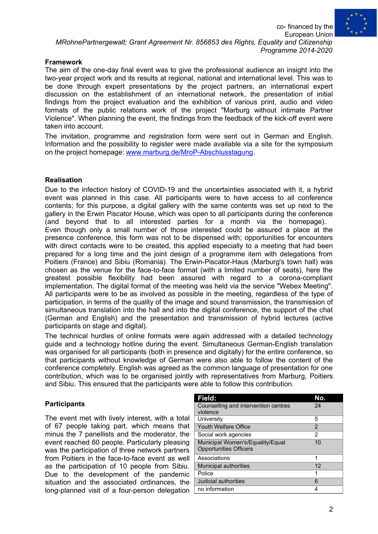co- financed by the

European Union *MRohnePartnergewalt; Grant Agreement Nr. 856853 des Rights, Equality and Citizenship Programme 2014-2020*

#### Framework

The aim of the one-day final event was to give the professional audience an insight into the two-year project work and its results at regional, national and international level. This was to be done through expert presentations by the project partners, an international expert discussion on the establishment of an international network, the presentation of initial findings from the project evaluation and the exhibition of various print, audio and video formats of the public relations work of the project "Marburg without intimate Partner Violence". When planning the event, the findings from the feedback of the kick-off event were taken into account.

The invitation, programme and registration form were sent out in German and English. Information and the possibility to register were made available via a site for the symposium on the project homepage: www.marburg.de/MroP-Abschlusstagung.

#### Realisation

Due to the infection history of COVID-19 and the uncertainties associated with it, a hybrid event was planned in this case. All participants were to have access to all conference contents; for this purpose, a digital gallery with the same contents was set up next to the gallery in the Erwin Piscator House, which was open to all participants during the conference (and beyond that to all interested parties for a month via the homepage). Even though only a small number of those interested could be assured a place at the presence conference, this form was not to be dispensed with; opportunities for encounters with direct contacts were to be created, this applied especially to a meeting that had been prepared for a long time and the joint design of a programme item with delegations from Poitiers (France) and Sibiu (Romania). The Erwin-Piscator-Haus (Marburg's town hall) was chosen as the venue for the face-to-face format (with a limited number of seats), here the greatest possible flexibility had been assured with regard to a corona-compliant implementation. The digital format of the meeting was held via the service "Webex Meeting". All participants were to be as involved as possible in the meeting, regardless of the type of participation, in terms of the quality of the image and sound transmission, the transmission of simultaneous translation into the hall and into the digital conference, the support of the chat (German and English) and the presentation and transmission of hybrid lectures (active participants on stage and digital).

The technical hurdles of online formats were again addressed with a detailed technology guide and a technology hotline during the event. Simultaneous German-English translation was organised for all participants (both in presence and digitally) for the entire conference, so that participants without knowledge of German were also able to follow the content of the conference completely. English was agreed as the common language of presentation for one contribution, which was to be organised jointly with representatives from Marburg, Poitiers and Sibiu. This ensured that the participants were able to follow this contribution.

#### **Participants**

The event met with lively interest, with a total of 67 people taking part, which means that minus the 7 panellists and the moderator, the event reached 60 people. Particularly pleasing was the participation of three network partners from Poitiers in the face-to-face event as well as the participation of 10 people from Sibiu. Due to the development of the pandemic situation and the associated ordinances, the long-planned visit of a four-person delegation

| Field:                                                            | No.            |
|-------------------------------------------------------------------|----------------|
| Counselling and intervention centres                              | 24             |
| violence                                                          |                |
| University                                                        | 5              |
| Youth Welfare Office                                              | $\overline{2}$ |
| Social work agencies                                              | 2              |
| Municipal Women's/Equality/Equal<br><b>Opportunities Officers</b> | 10             |
| Associations                                                      | 1              |
| Municipal authorities                                             | 12             |
| Police                                                            | 1              |
| Judicial authorities                                              | 6              |
| no information                                                    | 4              |